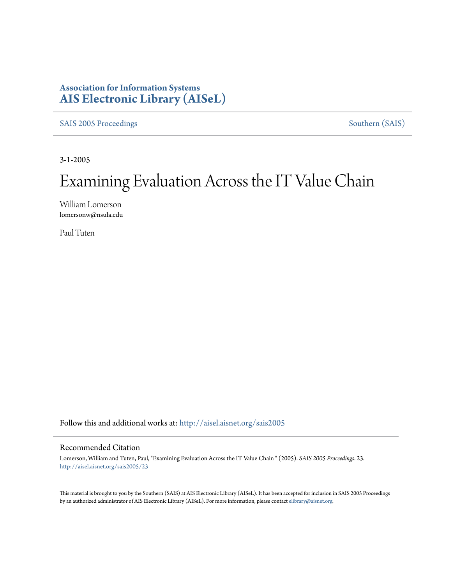## **Association for Information Systems [AIS Electronic Library \(AISeL\)](http://aisel.aisnet.org?utm_source=aisel.aisnet.org%2Fsais2005%2F23&utm_medium=PDF&utm_campaign=PDFCoverPages)**

[SAIS 2005 Proceedings](http://aisel.aisnet.org/sais2005?utm_source=aisel.aisnet.org%2Fsais2005%2F23&utm_medium=PDF&utm_campaign=PDFCoverPages) [Southern \(SAIS\)](http://aisel.aisnet.org/sais?utm_source=aisel.aisnet.org%2Fsais2005%2F23&utm_medium=PDF&utm_campaign=PDFCoverPages)

3-1-2005

# Examining Evaluation Across the IT Value Chain

William Lomerson lomersonw@nsula.edu

Paul Tuten

Follow this and additional works at: [http://aisel.aisnet.org/sais2005](http://aisel.aisnet.org/sais2005?utm_source=aisel.aisnet.org%2Fsais2005%2F23&utm_medium=PDF&utm_campaign=PDFCoverPages)

#### Recommended Citation

Lomerson, William and Tuten, Paul, "Examining Evaluation Across the IT Value Chain " (2005). *SAIS 2005 Proceedings*. 23. [http://aisel.aisnet.org/sais2005/23](http://aisel.aisnet.org/sais2005/23?utm_source=aisel.aisnet.org%2Fsais2005%2F23&utm_medium=PDF&utm_campaign=PDFCoverPages)

This material is brought to you by the Southern (SAIS) at AIS Electronic Library (AISeL). It has been accepted for inclusion in SAIS 2005 Proceedings by an authorized administrator of AIS Electronic Library (AISeL). For more information, please contact [elibrary@aisnet.org](mailto:elibrary@aisnet.org%3E).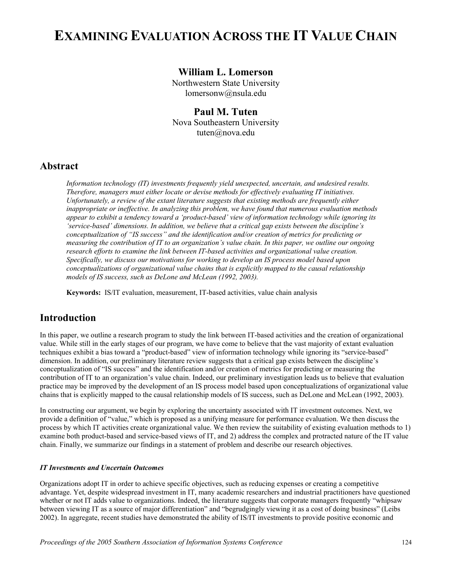## **EXAMINING EVALUATION ACROSS THE IT VALUE CHAIN**

#### **William L. Lomerson**

Northwestern State University lomersonw@nsula.edu

**Paul M. Tuten**  Nova Southeastern University tuten@nova.edu

#### **Abstract**

*Information technology (IT) investments frequently yield unexpected, uncertain, and undesired results. Therefore, managers must either locate or devise methods for effectively evaluating IT initiatives. Unfortunately, a review of the extant literature suggests that existing methods are frequently either inappropriate or ineffective. In analyzing this problem, we have found that numerous evaluation methods appear to exhibit a tendency toward a 'product-based' view of information technology while ignoring its 'service-based' dimensions. In addition, we believe that a critical gap exists between the discipline's conceptualization of "IS success" and the identification and/or creation of metrics for predicting or measuring the contribution of IT to an organization's value chain. In this paper, we outline our ongoing research efforts to examine the link between IT-based activities and organizational value creation. Specifically, we discuss our motivations for working to develop an IS process model based upon conceptualizations of organizational value chains that is explicitly mapped to the causal relationship models of IS success, such as DeLone and McLean (1992, 2003).*

**Keywords:** IS/IT evaluation, measurement, IT-based activities, value chain analysis

## **Introduction**

In this paper, we outline a research program to study the link between IT-based activities and the creation of organizational value. While still in the early stages of our program, we have come to believe that the vast majority of extant evaluation techniques exhibit a bias toward a "product-based" view of information technology while ignoring its "service-based" dimension. In addition, our preliminary literature review suggests that a critical gap exists between the discipline's conceptualization of "IS success" and the identification and/or creation of metrics for predicting or measuring the contribution of IT to an organization's value chain. Indeed, our preliminary investigation leads us to believe that evaluation practice may be improved by the development of an IS process model based upon conceptualizations of organizational value chains that is explicitly mapped to the causal relationship models of IS success, such as DeLone and McLean (1992, 2003).

In constructing our argument, we begin by exploring the uncertainty associated with IT investment outcomes. Next, we provide a definition of "value," which is proposed as a unifying measure for performance evaluation. We then discuss the process by which IT activities create organizational value. We then review the suitability of existing evaluation methods to 1) examine both product-based and service-based views of IT, and 2) address the complex and protracted nature of the IT value chain. Finally, we summarize our findings in a statement of problem and describe our research objectives.

#### *IT Investments and Uncertain Outcomes*

Organizations adopt IT in order to achieve specific objectives, such as reducing expenses or creating a competitive advantage. Yet, despite widespread investment in IT, many academic researchers and industrial practitioners have questioned whether or not IT adds value to organizations. Indeed, the literature suggests that corporate managers frequently "whipsaw" between viewing IT as a source of major differentiation" and "begrudgingly viewing it as a cost of doing business" (Leibs 2002). In aggregate, recent studies have demonstrated the ability of IS/IT investments to provide positive economic and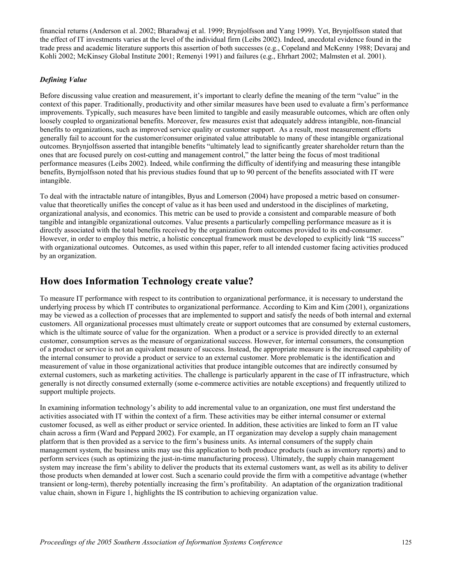financial returns (Anderson et al. 2002; Bharadwaj et al. 1999; Brynjolfsson and Yang 1999). Yet, Brynjolfsson stated that the effect of IT investments varies at the level of the individual firm (Leibs 2002). Indeed, anecdotal evidence found in the trade press and academic literature supports this assertion of both successes (e.g., Copeland and McKenny 1988; Devaraj and Kohli 2002; McKinsey Global Institute 2001; Remenyi 1991) and failures (e.g., Ehrhart 2002; Malmsten et al. 2001).

#### *Defining Value*

Before discussing value creation and measurement, it's important to clearly define the meaning of the term "value" in the context of this paper. Traditionally, productivity and other similar measures have been used to evaluate a firm's performance improvements. Typically, such measures have been limited to tangible and easily measurable outcomes, which are often only loosely coupled to organizational benefits. Moreover, few measures exist that adequately address intangible, non-financial benefits to organizations, such as improved service quality or customer support. As a result, most measurement efforts generally fail to account for the customer/consumer originated value attributable to many of these intangible organizational outcomes. Brynjolfsson asserted that intangible benefits "ultimately lead to significantly greater shareholder return than the ones that are focused purely on cost-cutting and management control," the latter being the focus of most traditional performance measures (Leibs 2002). Indeed, while confirming the difficulty of identifying and measuring these intangible benefits, Byrnjolfsson noted that his previous studies found that up to 90 percent of the benefits associated with IT were intangible.

To deal with the intractable nature of intangibles, Byus and Lomerson (2004) have proposed a metric based on consumervalue that theoretically unifies the concept of value as it has been used and understood in the disciplines of marketing, organizational analysis, and economics. This metric can be used to provide a consistent and comparable measure of both tangible and intangible organizational outcomes. Value presents a particularly compelling performance measure as it is directly associated with the total benefits received by the organization from outcomes provided to its end-consumer. However, in order to employ this metric, a holistic conceptual framework must be developed to explicitly link "IS success" with organizational outcomes. Outcomes, as used within this paper, refer to all intended customer facing activities produced by an organization.

### **How does Information Technology create value?**

To measure IT performance with respect to its contribution to organizational performance, it is necessary to understand the underlying process by which IT contributes to organizational performance. According to Kim and Kim (2001), organizations may be viewed as a collection of processes that are implemented to support and satisfy the needs of both internal and external customers. All organizational processes must ultimately create or support outcomes that are consumed by external customers, which is the ultimate source of value for the organization. When a product or a service is provided directly to an external customer, consumption serves as the measure of organizational success. However, for internal consumers, the consumption of a product or service is not an equivalent measure of success. Instead, the appropriate measure is the increased capability of the internal consumer to provide a product or service to an external customer. More problematic is the identification and measurement of value in those organizational activities that produce intangible outcomes that are indirectly consumed by external customers, such as marketing activities. The challenge is particularly apparent in the case of IT infrastructure, which generally is not directly consumed externally (some e-commerce activities are notable exceptions) and frequently utilized to support multiple projects.

In examining information technology's ability to add incremental value to an organization, one must first understand the activities associated with IT within the context of a firm. These activities may be either internal consumer or external customer focused, as well as either product or service oriented. In addition, these activities are linked to form an IT value chain across a firm (Ward and Peppard 2002). For example, an IT organization may develop a supply chain management platform that is then provided as a service to the firm's business units. As internal consumers of the supply chain management system, the business units may use this application to both produce products (such as inventory reports) and to perform services (such as optimizing the just-in-time manufacturing process). Ultimately, the supply chain management system may increase the firm's ability to deliver the products that its external customers want, as well as its ability to deliver those products when demanded at lower cost. Such a scenario could provide the firm with a competitive advantage (whether transient or long-term), thereby potentially increasing the firm's profitability. An adaptation of the organization traditional value chain, shown in Figure 1, highlights the IS contribution to achieving organization value.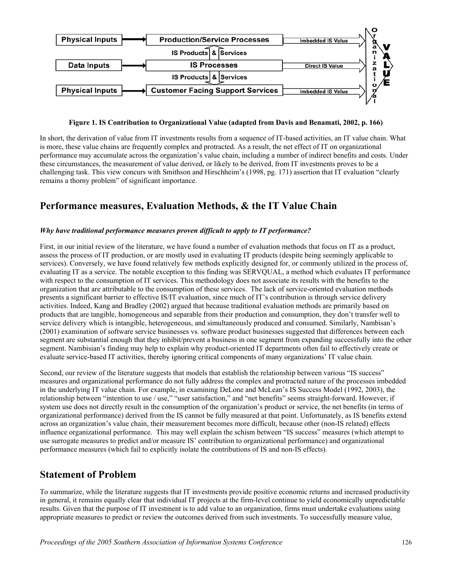

#### **Figure 1. IS Contribution to Organizational Value (adapted from Davis and Benamati, 2002, p. 166)**

In short, the derivation of value from IT investments results from a sequence of IT-based activities, an IT value chain. What is more, these value chains are frequently complex and protracted. As a result, the net effect of IT on organizational performance may accumulate across the organization's value chain, including a number of indirect benefits and costs. Under these circumstances, the measurement of value derived, or likely to be derived, from IT investments proves to be a challenging task. This view concurs with Smithson and Hirschheim's (1998, pg. 171) assertion that IT evaluation "clearly remains a thorny problem" of significant importance.

## **Performance measures, Evaluation Methods, & the IT Value Chain**

#### *Why have traditional performance measures proven difficult to apply to IT performance?*

First, in our initial review of the literature, we have found a number of evaluation methods that focus on IT as a product, assess the process of IT production, or are mostly used in evaluating IT products (despite being seemingly applicable to services). Conversely, we have found relatively few methods explicitly designed for, or commonly utilized in the process of, evaluating IT as a service. The notable exception to this finding was SERVQUAL, a method which evaluates IT performance with respect to the consumption of IT services. This methodology does not associate its results with the benefits to the organization that are attributable to the consumption of these services. The lack of service-oriented evaluation methods presents a significant barrier to effective IS/IT evaluation, since much of IT's contribution is through service delivery activities. Indeed, Kang and Bradley (2002) argued that because traditional evaluation methods are primarily based on products that are tangible, homogeneous and separable from their production and consumption, they don't transfer well to service delivery which is intangible, heterogeneous, and simultaneously produced and consumed. Similarly, Nambisan's (2001) examination of software service businesses vs. software product businesses suggested that differences between each segment are substantial enough that they inhibit/prevent a business in one segment from expanding successfully into the other segment. Nambisian's finding may help to explain why product-oriented IT departments often fail to effectively create or evaluate service-based IT activities, thereby ignoring critical components of many organizations' IT value chain.

Second, our review of the literature suggests that models that establish the relationship between various "IS success" measures and organizational performance do not fully address the complex and protracted nature of the processes imbedded in the underlying IT value chain. For example, in examining DeLone and McLean's IS Success Model (1992, 2003), the relationship between "intention to use / use," "user satisfaction," and "net benefits" seems straight-forward. However, if system use does not directly result in the consumption of the organization's product or service, the net benefits (in terms of organizational performance) derived from the IS cannot be fully measured at that point. Unfortunately, as IS benefits extend across an organization's value chain, their measurement becomes more difficult, because other (non-IS related) effects influence organizational performance. This may well explain the schism between "IS success" measures (which attempt to use surrogate measures to predict and/or measure IS' contribution to organizational performance) and organizational performance measures (which fail to explicitly isolate the contributions of IS and non-IS effects).

#### **Statement of Problem**

To summarize, while the literature suggests that IT investments provide positive economic returns and increased productivity in general, it remains equally clear that individual IT projects at the firm-level continue to yield economically unpredictable results. Given that the purpose of IT investment is to add value to an organization, firms must undertake evaluations using appropriate measures to predict or review the outcomes derived from such investments. To successfully measure value,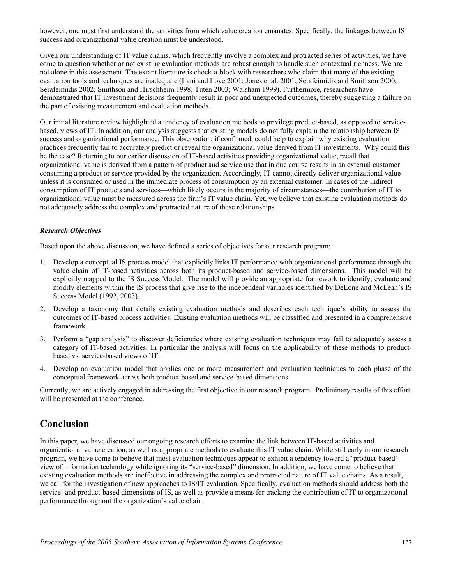however, one must first understand the activities from which value creation emanates. Specifically, the linkages between IS success and organizational value creation must be understood.

Given our understanding of IT value chains, which frequently involve a complex and protracted series of activities, we have come to question whether or not existing evaluation methods are robust enough to handle such contextual richness. We are not alone in this assessment. The extant literature is chock-a-block with researchers who claim that many of the existing evaluation tools and techniques are inadequate (Irani and Love 2001; Jones et al. 2001; Serafeimidis and Smithson 2000; Serafeimidis 2002; Smithson and Hirschheim 1998; Tuten 2003; Walsham 1999). Furthermore, researchers have demonstrated that IT investment decisions frequently result in poor and unexpected outcomes, thereby suggesting a failure on the part of existing measurement and evaluation methods.

Our initial literature review highlighted a tendency of evaluation methods to privilege product-based, as opposed to servicebased, views of IT. In addition, our analysis suggests that existing models do not fully explain the relationship between IS success and organizational performance. This observation, if confirmed, could help to explain why existing evaluation practices frequently fail to accurately predict or reveal the organizational value derived from IT investments. Why could this be the case? Returning to our earlier discussion of IT-based activities providing organizational value, recall that organizational value is derived from a pattern of product and service use that in due course results in an external customer consuming a product or service provided by the organization. Accordingly, IT cannot directly deliver organizational value unless it is consumed or used in the immediate process of consumption by an external customer. In cases of the indirect consumption of IT products and services—which likely occurs in the majority of circumstances—the contribution of IT to organizational value must be measured across the firm's IT value chain. Yet, we believe that existing evaluation methods do not adequately address the complex and protracted nature of these relationships.

#### *Research Objectives*

Based upon the above discussion, we have defined a series of objectives for our research program:

- 1. Develop a conceptual IS process model that explicitly links IT performance with organizational performance through the value chain of IT-based activities across both its product-based and service-based dimensions. This model will be explicitly mapped to the IS Success Model. The model will provide an appropriate framework to identify, evaluate and modify elements within the IS process that give rise to the independent variables identified by DeLone and McLean's IS Success Model (1992, 2003).
- 2. Develop a taxonomy that details existing evaluation methods and describes each technique's ability to assess the outcomes of IT-based process activities. Existing evaluation methods will be classified and presented in a comprehensive framework.
- 3. Perform a "gap analysis" to discover deficiencies where existing evaluation techniques may fail to adequately assess a category of IT-based activities. In particular the analysis will focus on the applicability of these methods to productbased vs. service-based views of IT.
- 4. Develop an evaluation model that applies one or more measurement and evaluation techniques to each phase of the conceptual framework across both product-based and service-based dimensions.

Currently, we are actively engaged in addressing the first objective in our research program. Preliminary results of this effort will be presented at the conference.

## **Conclusion**

In this paper, we have discussed our ongoing research efforts to examine the link between IT-based activities and organizational value creation, as well as appropriate methods to evaluate this IT value chain. While still early in our research program, we have come to believe that most evaluation techniques appear to exhibit a tendency toward a 'product-based' view of information technology while ignoring its "service-based" dimension. In addition, we have come to believe that existing evaluation methods are ineffective in addressing the complex and protracted nature of IT value chains. As a result, we call for the investigation of new approaches to IS/IT evaluation. Specifically, evaluation methods should address both the service- and product-based dimensions of IS, as well as provide a means for tracking the contribution of IT to organizational performance throughout the organization's value chain.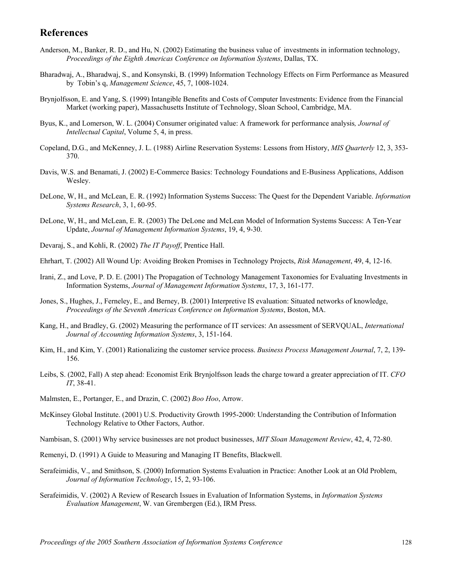## **References**

- Anderson, M., Banker, R. D., and Hu, N. (2002) Estimating the business value of investments in information technology, *Proceedings of the Eighth Americas Conference on Information Systems*, Dallas, TX.
- Bharadwaj, A., Bharadwaj, S., and Konsynski, B. (1999) Information Technology Effects on Firm Performance as Measured by Tobin's q, *Management Science*, 45, 7, 1008-1024.
- Brynjolfsson, E. and Yang, S. (1999) Intangible Benefits and Costs of Computer Investments: Evidence from the Financial Market (working paper), Massachusetts Institute of Technology, Sloan School, Cambridge, MA.
- Byus, K., and Lomerson, W. L. (2004) Consumer originated value: A framework for performance analysis*, Journal of Intellectual Capital*, Volume 5, 4, in press.
- Copeland, D.G., and McKenney, J. L. (1988) Airline Reservation Systems: Lessons from History, *MIS Quarterly* 12, 3, 353- 370.
- Davis, W.S. and Benamati, J. (2002) E-Commerce Basics: Technology Foundations and E-Business Applications, Addison Wesley.
- DeLone, W, H., and McLean, E. R. (1992) Information Systems Success: The Quest for the Dependent Variable. *Information Systems Research*, 3, 1, 60-95.
- DeLone, W, H., and McLean, E. R. (2003) The DeLone and McLean Model of Information Systems Success: A Ten-Year Update, *Journal of Management Information Systems*, 19, 4, 9-30.
- Devaraj, S., and Kohli, R. (2002) *The IT Payoff*, Prentice Hall.
- Ehrhart, T. (2002) All Wound Up: Avoiding Broken Promises in Technology Projects, *Risk Management*, 49, 4, 12-16.
- Irani, Z., and Love, P. D. E. (2001) The Propagation of Technology Management Taxonomies for Evaluating Investments in Information Systems, *Journal of Management Information Systems*, 17, 3, 161-177.
- Jones, S., Hughes, J., Ferneley, E., and Berney, B. (2001) Interpretive IS evaluation: Situated networks of knowledge, *Proceedings of the Seventh Americas Conference on Information Systems*, Boston, MA.
- Kang, H., and Bradley, G. (2002) Measuring the performance of IT services: An assessment of SERVQUAL, *International Journal of Accounting Information Systems*, 3, 151-164.
- Kim, H., and Kim, Y. (2001) Rationalizing the customer service process. *Business Process Management Journal*, 7, 2, 139- 156.
- Leibs, S. (2002, Fall) A step ahead: Economist Erik Brynjolfsson leads the charge toward a greater appreciation of IT. *CFO IT*, 38-41.
- Malmsten, E., Portanger, E., and Drazin, C. (2002) *Boo Hoo*, Arrow.
- McKinsey Global Institute. (2001) U.S. Productivity Growth 1995-2000: Understanding the Contribution of Information Technology Relative to Other Factors, Author.
- Nambisan, S. (2001) Why service businesses are not product businesses, *MIT Sloan Management Review*, 42, 4, 72-80.
- Remenyi, D. (1991) A Guide to Measuring and Managing IT Benefits, Blackwell.
- Serafeimidis, V., and Smithson, S. (2000) Information Systems Evaluation in Practice: Another Look at an Old Problem, *Journal of Information Technology*, 15, 2, 93-106.
- Serafeimidis, V. (2002) A Review of Research Issues in Evaluation of Information Systems, in *Information Systems Evaluation Management*, W. van Grembergen (Ed.), IRM Press.